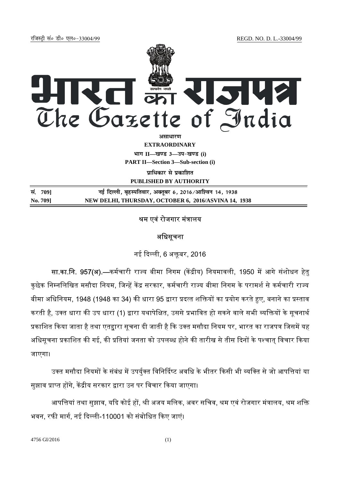jftLVªh laö Mhö ,yö&33004@99 REGD. NO. D. L.-33004/99



**EXTRAORDINARY**

**Hkkx II—[k.M 3—mi&[k.M (i)**

**PART II—Section 3—Sub-section (i)** 

**पाधिकार से प्रकाशित PUBLISHED BY AUTHORITY**

| सं. 709] | नई दिल्ली, बृहस्पतिवार, अक्तूबर 6, 2016/आश्विन 14, 1938 |
|----------|---------------------------------------------------------|
| No. 709] | NEW DELHI, THURSDAY, OCTOBER 6, 2016/ASVINA 14, 1938    |

## श्रम एवं रोजगार मंत्रालय

### अधिसूचना

### नई दिल्ली, 6 अक्तबर, 2016

**सा.का.नि. 957(अ).—**कर्मचारी राज्य बीमा निगम (केंद्रीय) नियमावली, 1950 में आगे संशोधन हेतु कुछेक निम्नलिखित मसौदा नियम, जिन्हें केंद्र सरकार, कर्मचारी राज्य बीमा निगम के परामर्श से कर्मचारी राज्य बीमा अधिनियम, 1948 (1948 का 34) की धारा 95 द्वारा प्रदत्त शक्तियों का प्रयोग करते हुए, बनाने का प्रस्ताव करती है, उक्त धारा की उप धारा (1) द्वारा यथापेक्षित, उससे प्रभावित हो सकने वाले सभी व्यक्तियों के सूचनार्थ प्रकाशित किया जाता है तथा एतद्वारा सूचना दी जाती है कि उक्त मसौदा नियम पर, भारत का राजपत्र जिसमें यह अधिसूचना प्रकाशित की गई, की प्रतियां जनता को उपलब्ध होने की तारीख से तीस दिनों के पश्चात् विचार किया जाएगा।

उक्त मसौदा नियमों के संबंध में उपर्युक्त विनिर्दिष्ट अवधि के भीतर किसी भी व्यक्ति से जो आपत्तियां या सुझाव प्राप्त होंगे, केंद्रीय सरकार द्वारा उन पर विचार किया जाएगा।

आपत्तियां तथा सुझाव, यदि कोई हों, श्री अजय मलिक, अवर सचिव, श्रम एवं रोजगार मंत्रालय, श्रम शक्ति भवन, रफी मार्ग, नई दिल्ली-110001 को संबोधित किए जाएं।